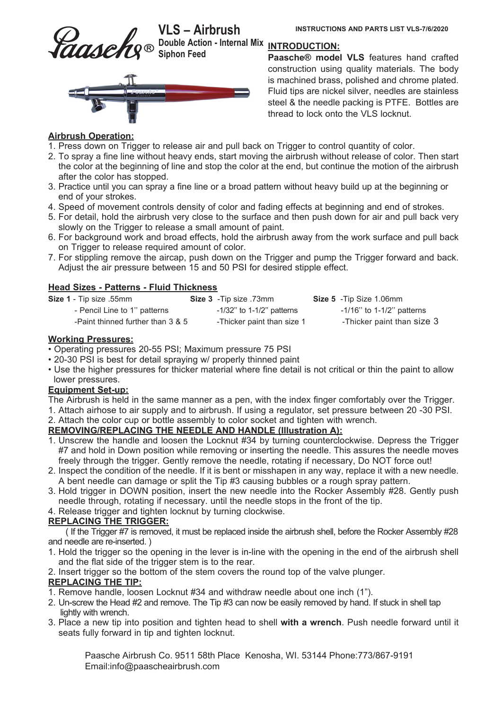

Double Action - Internal Mix <u>INTRODUCTION:</u><br>-**Siphon Feed** 



Paasche<sup>®</sup> model VLS features hand crafted construction using quality materials. The body is machined brass, polished and chrome plated. Fluid tips are nickel silver, needles are stainless steel & the needle packing is PTFE. Bottles are thread to lock onto the VLS locknut.

## **Airbrush Operation:**

- 1. Press down on Trigger to release air and pull back on Trigger to control quantity of color.
- 2. To spray a fine line without heavy ends, start moving the airbrush without release of color. Then start the color at the beginning of line and stop the color at the end, but continue the motion of the airbrush after the color has stopped.
- 3. Practice until you can spray a fine line or a broad pattern without heavy build up at the beginning or end of your strokes.
- 4. Speed of movement controls density of color and fading effects at beginning and end of strokes.
- 5. For detail, hold the airbrush very close to the surface and then push down for air and pull back very slowly on the Trigger to release a small amount of paint.
- 6. For background work and broad effects, hold the airbrush away from the work surface and pull back on Trigger to release required amount of color.
- 7. For stippling remove the aircap, push down on the Trigger and pump the Trigger forward and back. Adjust the air pressure between 15 and 50 PSI for desired stipple effect.

## **Head Sizes - Patterns - Fluid Thickness**

| Size 1 - Tip size .55mm           | Size 3 - Tip size .73mm      | <b>Size 5</b> - Tip Size 1.06mm |
|-----------------------------------|------------------------------|---------------------------------|
| - Pencil Line to 1" patterns      | $-1/32$ " to 1-1/2" patterns | $-1/16$ " to 1-1/2" patterns    |
| -Paint thinned further than 3 & 5 | -Thicker paint than size 1   | -Thicker paint than size 3      |

#### **Working Pressures:**

- Operating pressures 20-55 PSI; Maximum pressure 75 PSI
- 20-30 PSI is best for detail spraying w/ properly thinned paint
- Use the higher pressures for thicker material where fine detail is not critical or thin the paint to allow lower pressures.

## **Equipment Set-up:**

- The Airbrush is held in the same manner as a pen, with the index finger comfortably over the Trigger.
- 1. Attach airhose to air supply and to airbrush. If using a regulator, set pressure between 20 -30 PSI.
- 2. Attach the color cup or bottle assembly to color socket and tighten with wrench.

## **REMOVING/REPLACING THE NEEDLE AND HANDLE (Illustration A):**

- 1. Unscrew the handle and loosen the Locknut #34 by turning counterclockwise. Depress the Trigger #7 and hold in Down position while removing or inserting the needle. This assures the needle moves freely through the trigger. Gently remove the needle, rotating if necessary, Do NOT force out!
- 2. Inspect the condition of the needle. If it is bent or misshapen in any way, replace it with a new needle. A bent needle can damage or split the Tip #3 causing bubbles or a rough spray pattern.
- 3. Hold trigger in DOWN position, insert the new needle into the Rocker Assembly #28. Gently push needle through, rotating if necessary. until the needle stops in the front of the tip.
- 4. Release trigger and tighten locknut by turning clockwise.

# **REPLACING THE TRIGGER:**

 ( If the Trigger #7 is removed, it must be replaced inside the airbrush shell, before the Rocker Assembly #28 and needle are re-inserted. )

- 1. Hold the trigger so the opening in the lever is in-line with the opening in the end of the airbrush shell and the flat side of the trigger stem is to the rear.
- 2. Insert trigger so the bottom of the stem covers the round top of the valve plunger.

## **REPLACING THE TIP:**

- 1. Remove handle, loosen Locknut #34 and withdraw needle about one inch (1").
- 2. Un-screw the Head #2 and remove. The Tip #3 can now be easily removed by hand. If stuck in shell tap lightly with wrench.
- 3. Place a new tip into position and tighten head to shell with a wrench. Push needle forward until it seats fully forward in tip and tighten locknut.

Paasche Airbrush Co. 9511 58th Place Kenosha, WI. 53144 Phone: 773/867-9191 Email:info@paascheairbrush.com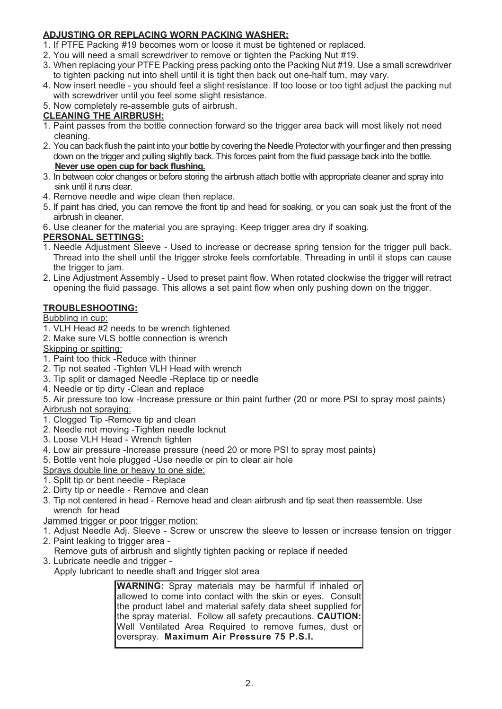# ADJUSTING OR REPLACING WORN PACKING WASHER:

- 1. If PTFE Packing #19 becomes worn or loose it must be tightened or replaced.
- 2. You will need a small screwdriver to remove or tighten the Packing Nut #19.
- 3. When replacing your PTFE Packing press packing onto the Packing Nut #19. Use a small screwdriver to tighten packing nut into shell until it is tight then back out one-half turn, may vary.
- 4. Now insert needle you should feel a slight resistance. If too loose or too tight adjust the packing nut with screwdriver until you feel some slight resistance.
- 5. Now completely re-assemble guts of airbrush.

## **CLEANING THE AIRBRUSH:**

- 1. Paint passes from the bottle connection forward so the trigger area back will most likely not need cleaning.
- 2. You can back flush the paint into your bottle by covering the Needle Protector with your finger and then pressing down on the trigger and pulling slightly back. This forces paint from the fluid passage back into the bottle. Never use open cup for back flushing.
- 3. In between color changes or before storing the airbrush attach bottle with appropriate cleaner and spray into sink until it runs clear.
- 4. Remove needle and wipe clean then replace.
- 5. If paint has dried, you can remove the front tip and head for soaking, or you can soak just the front of the airbrush in cleaner.
- 6. Use cleaner for the material you are spraying. Keep trigger area dry if soaking.

## **PERSONAL SETTINGS:**

- 1. Needle Adjustment Sleeve Used to increase or decrease spring tension for the trigger pull back. Thread into the shell until the trigger stroke feels comfortable. Threading in until it stops can cause the trigger to jam.
- 2. Line Adjustment Assembly Used to preset paint flow. When rotated clockwise the trigger will retract opening the fluid passage. This allows a set paint flow when only pushing down on the trigger.

## **TROUBLESHOOTING:**

Bubbling in cup:

- 1. VLH Head #2 needs to be wrench tightened
- 2. Make sure VLS bottle connection is wrench

Skipping or spitting:

- 1. Paint too thick -Reduce with thinner
- 2. Tip not seated Tighten VLH Head with wrench
- 3. Tip split or damaged Needle -Replace tip or needle
- 4. Needle or tip dirty -Clean and replace

5. Air pressure too low -Increase pressure or thin paint further (20 or more PSI to spray most paints) Airbrush not spraving:

- 1. Clogged Tip Remove tip and clean
- 2. Needle not moving Tighten needle locknut
- 3. Loose VLH Head Wrench tighten
- 4. Low air pressure Increase pressure (need 20 or more PSI to spray most paints)
- 5. Bottle vent hole plugged -Use needle or pin to clear air hole
- Sprays double line or heavy to one side:
- 1. Split tip or bent needle Replace
- 2. Dirty tip or needle Remove and clean
- 3. Tip not centered in head Remove head and clean airbrush and tip seat then reassemble. Use wrench for head

Jammed trigger or poor trigger motion:

- 1. Adjust Needle Adj. Sleeve Screw or unscrew the sleeve to lessen or increase tension on trigger
- 2. Paint leaking to trigger area -
- Remove guts of airbrush and slightly tighten packing or replace if needed
- 3. Lubricate needle and trigger -Apply lubricant to needle shaft and trigger slot area

**WARNING:** Spray materials may be harmful if inhaled or allowed to come into contact with the skin or eves. Consult the product label and material safety data sheet supplied for the spray material. Follow all safety precautions. CAUTION: Well Ventilated Area Required to remove fumes, dust or overspray. Maximum Air Pressure 75 P.S.I.